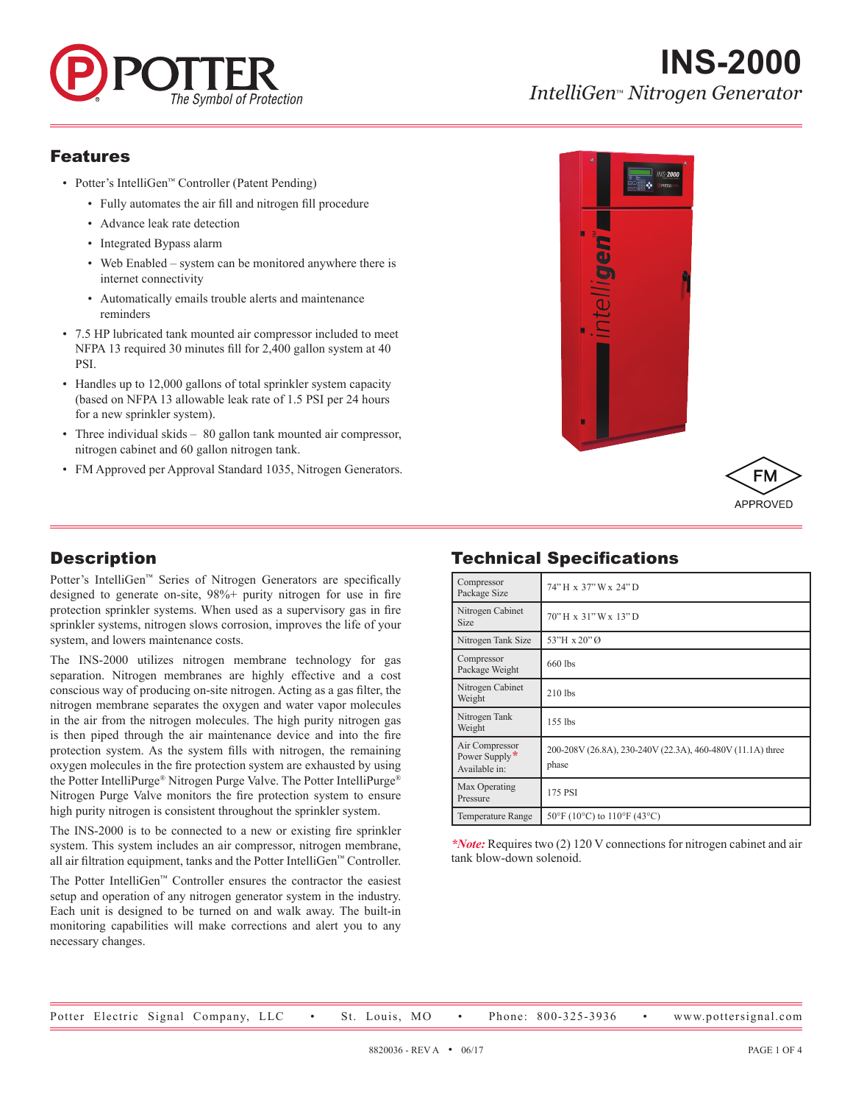

# **INS-2000** *IntelliGen*™ *Nitrogen Generator*

#### Features

- Potter's IntelliGen™ Controller (Patent Pending)
	- Fully automates the air fill and nitrogen fill procedure
	- Advance leak rate detection
	- Integrated Bypass alarm
	- Web Enabled system can be monitored anywhere there is internet connectivity
	- Automatically emails trouble alerts and maintenance reminders
- 7.5 HP lubricated tank mounted air compressor included to meet NFPA 13 required 30 minutes fill for 2,400 gallon system at 40 PSI.
- Handles up to 12,000 gallons of total sprinkler system capacity (based on NFPA 13 allowable leak rate of 1.5 PSI per 24 hours for a new sprinkler system).
- Three individual skids 80 gallon tank mounted air compressor, nitrogen cabinet and 60 gallon nitrogen tank.
- FM Approved per Approval Standard 1035, Nitrogen Generators.



# APPROVED

## Technical Specifications

| Compressor<br>Package Size                       | 74" H x 37" W x 24" D                                               |  |
|--------------------------------------------------|---------------------------------------------------------------------|--|
| Nitrogen Cabinet<br><b>Size</b>                  | 70" H x 31" W x 13" D                                               |  |
| Nitrogen Tank Size                               | 53"H x 20" Ø                                                        |  |
| Compressor<br>Package Weight                     | 660 lbs                                                             |  |
| Nitrogen Cabinet<br>Weight                       | $210$ lbs                                                           |  |
| Nitrogen Tank<br>Weight                          | $155$ lbs                                                           |  |
| Air Compressor<br>Power Supply*<br>Available in: | 200-208V (26.8A), 230-240V (22.3A), 460-480V (11.1A) three<br>phase |  |
| Max Operating<br>Pressure                        | 175 PSI                                                             |  |
| <b>Temperature Range</b>                         | $50^{\circ}$ F (10°C) to 110°F (43°C)                               |  |

*\*Note:* Requires two (2) 120 V connections for nitrogen cabinet and air tank blow-down solenoid.

# **Description**

Potter's IntelliGen™ Series of Nitrogen Generators are specifically designed to generate on-site, 98%+ purity nitrogen for use in fire protection sprinkler systems. When used as a supervisory gas in fire sprinkler systems, nitrogen slows corrosion, improves the life of your system, and lowers maintenance costs.

The INS-2000 utilizes nitrogen membrane technology for gas separation. Nitrogen membranes are highly effective and a cost conscious way of producing on-site nitrogen. Acting as a gas filter, the nitrogen membrane separates the oxygen and water vapor molecules in the air from the nitrogen molecules. The high purity nitrogen gas is then piped through the air maintenance device and into the fire protection system. As the system fills with nitrogen, the remaining oxygen molecules in the fire protection system are exhausted by using the Potter IntelliPurge® Nitrogen Purge Valve. The Potter IntelliPurge® Nitrogen Purge Valve monitors the fire protection system to ensure high purity nitrogen is consistent throughout the sprinkler system.

The INS-2000 is to be connected to a new or existing fire sprinkler system. This system includes an air compressor, nitrogen membrane, all air filtration equipment, tanks and the Potter IntelliGen™ Controller.

The Potter IntelliGen™ Controller ensures the contractor the easiest setup and operation of any nitrogen generator system in the industry. Each unit is designed to be turned on and walk away. The built-in monitoring capabilities will make corrections and alert you to any necessary changes.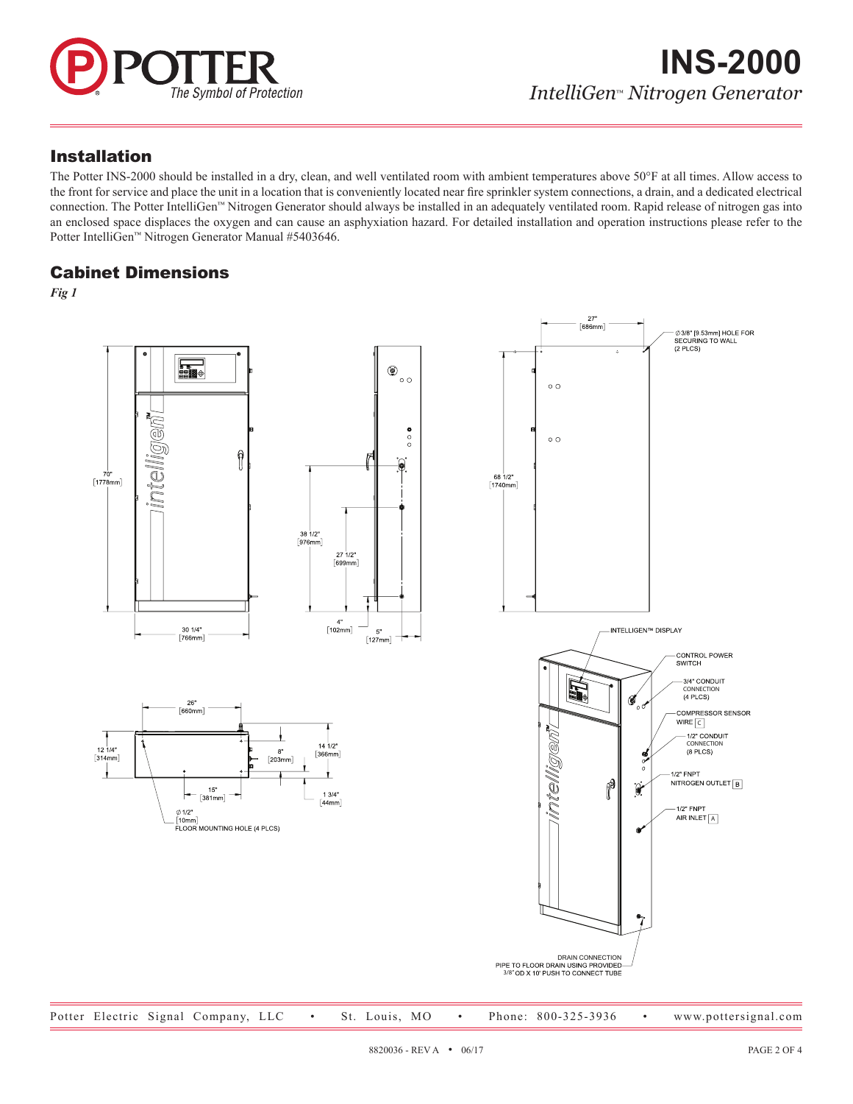

#### Installation

The Potter INS-2000 should be installed in a dry, clean, and well ventilated room with ambient temperatures above 50°F at all times. Allow access to the front for service and place the unit in a location that is conveniently located near fire sprinkler system connections, a drain, and a dedicated electrical connection. The Potter IntelliGen™ Nitrogen Generator should always be installed in an adequately ventilated room. Rapid release of nitrogen gas into an enclosed space displaces the oxygen and can cause an asphyxiation hazard. For detailed installation and operation instructions please refer to the Potter IntelliGen™ Nitrogen Generator Manual #5403646.

#### Cabinet Dimensions

*Fig 1*

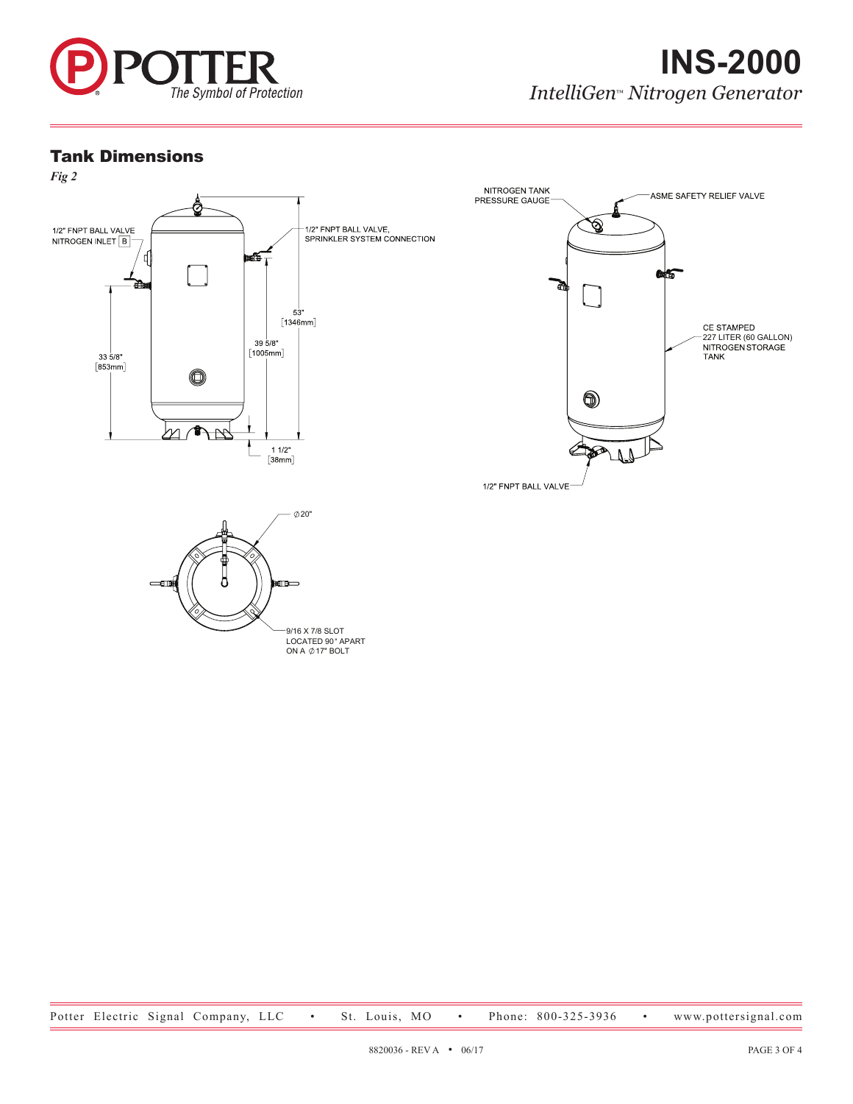

#### Tank Dimensions



9/16 X 7/8 SLOT<br>LOCATED 90° APART<br>ON A ⊘17" BOLT

Potter Electric Signal Company, LLC • St. Louis, MO • Phone: 800-325-3936 • www.pottersignal.com